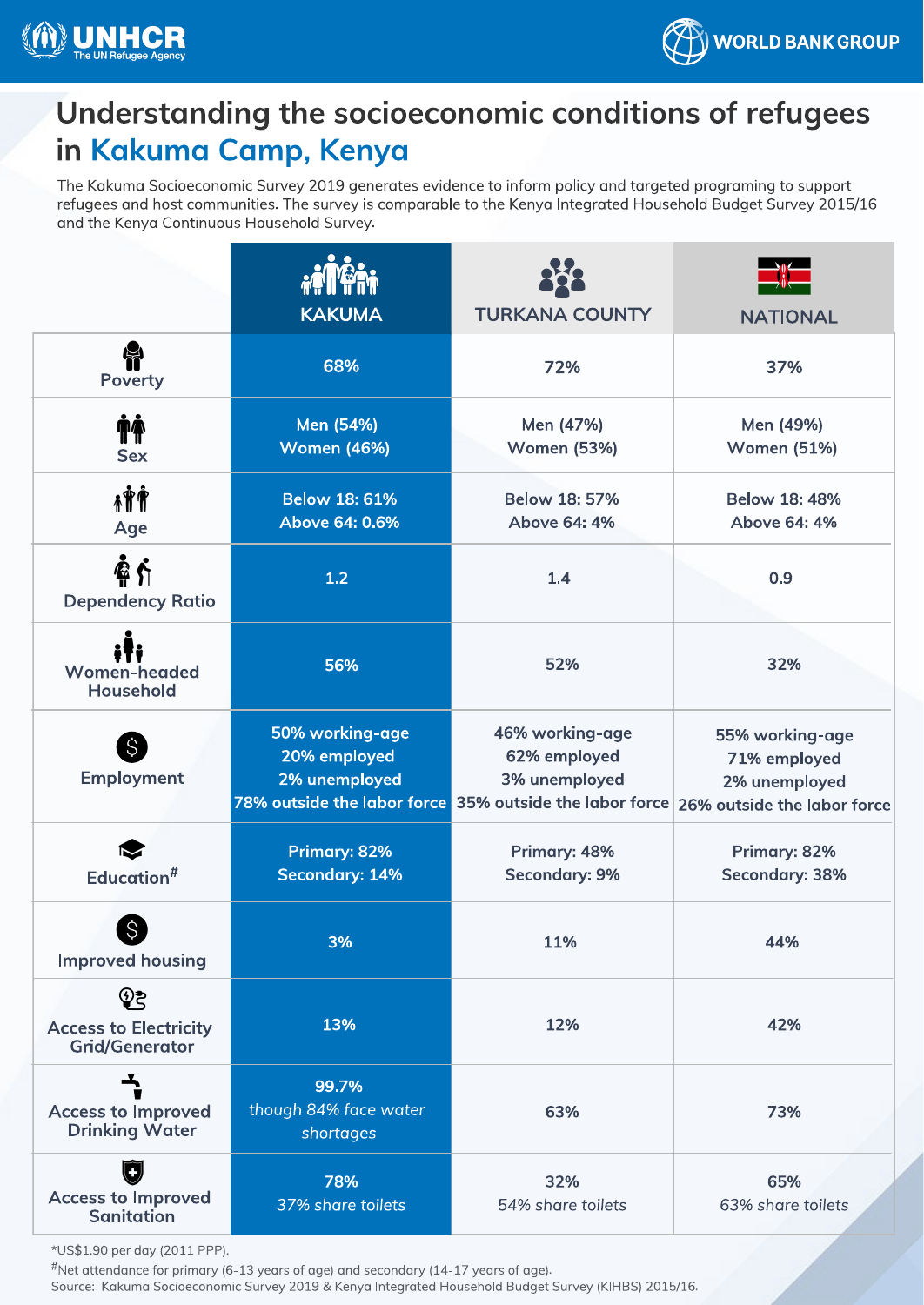



## Understanding the socioeconomic conditions of refugees<br>in Kakuma Camp, Kenya

The Kakuma Socioeconomic Survey 2019 generates evidence to inform policy and targeted programing to support refugees and host communities. The survey is comparable to the Kenya Integrated Household Budget Survey 2015/16 refugees and the Kenya Continuous Household Survey is comparable to the Kenya Integrated Household Budget Survey and the Kenya Continuous Household Survey.

|                                                               | <b>KAKUMA</b>                                    | <b>TURKANA COUNTY</b>                                                                                       | <b>NATIONAL</b>                                                                 |
|---------------------------------------------------------------|--------------------------------------------------|-------------------------------------------------------------------------------------------------------------|---------------------------------------------------------------------------------|
| <b>怜</b><br><b>Poverty</b>                                    | 68%                                              | 72%                                                                                                         | 37%                                                                             |
| <b>TA</b><br><b>Sex</b>                                       | Men (54%)<br><b>Women (46%)</b>                  | Men (47%)<br><b>Women (53%)</b>                                                                             | Men (49%)<br><b>Women (51%)</b>                                                 |
| i Î Î<br>Age                                                  | <b>Below 18: 61%</b><br>Above 64: 0.6%           | <b>Below 18: 57%</b><br>Above 64: 4%                                                                        | <b>Below 18: 48%</b><br>Above 64: 4%                                            |
| 叠介<br><b>Dependency Ratio</b>                                 | 1.2                                              | 1.4                                                                                                         | 0.9                                                                             |
| <b>Women-headed</b><br><b>Household</b>                       | 56%                                              | 52%                                                                                                         | 32%                                                                             |
| S<br>Employment                                               | 50% working-age<br>20% employed<br>2% unemployed | 46% working-age<br>62% employed<br>3% unemployed<br>78% outside the labor force 35% outside the labor force | 55% working-age<br>71% employed<br>2% unemployed<br>26% outside the labor force |
| Education <sup>#</sup>                                        | <b>Primary: 82%</b><br><b>Secondary: 14%</b>     | Primary: 48%<br><b>Secondary: 9%</b>                                                                        | Primary: 82%<br><b>Secondary: 38%</b>                                           |
| $\mathcal{S}$<br><b>Improved housing</b>                      | 3%                                               | 11%                                                                                                         | 44%                                                                             |
| ලිදු<br><b>Access to Electricity</b><br><b>Grid/Generator</b> | 13%                                              | 12%                                                                                                         | 42%                                                                             |
| ᅩ<br><b>Access to Improved</b><br><b>Drinking Water</b>       | 99.7%<br>though 84% face water<br>shortages      | 63%                                                                                                         | 73%                                                                             |
| O<br><b>Access to Improved</b><br><b>Sanitation</b>           | 78%<br>37% share toilets                         | 32%<br>54% share toilets                                                                                    | 65%<br>63% share toilets                                                        |

 $*$ Not attendance for primary  $\kappa$ 

Net attendance for primary (6-13 years of age) and secondary (6-13 years of age) and secondary (14-17 years of a<br>Course: Kakuma Socioeconomic Survey 2019 & Kenya Integrated Household Budget ( Source: Kakuma Socioeconomic Survey 2019 & Kenya Integrated Household Budget Survey (KIHBS) 2015/16.